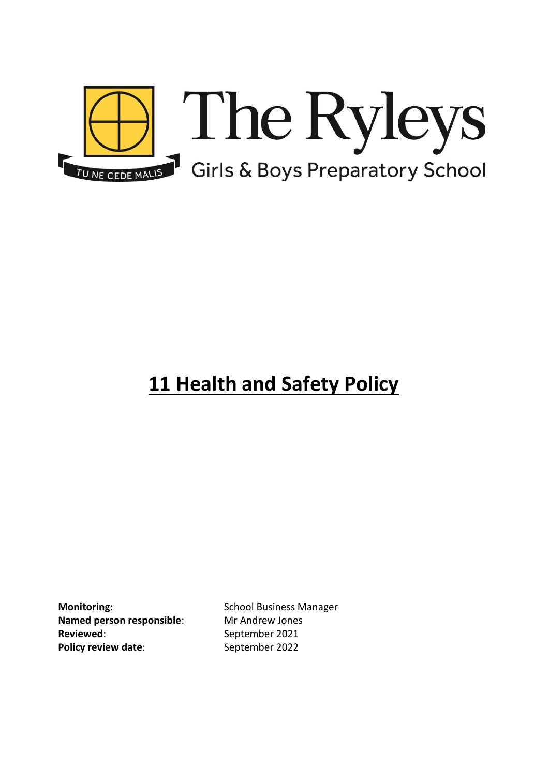

# **11 Health and Safety Policy**

**Monitoring:** School Business Manager **Named person responsible**: Mr Andrew Jones **Reviewed:** September 2021 **Policy review date:** September 2022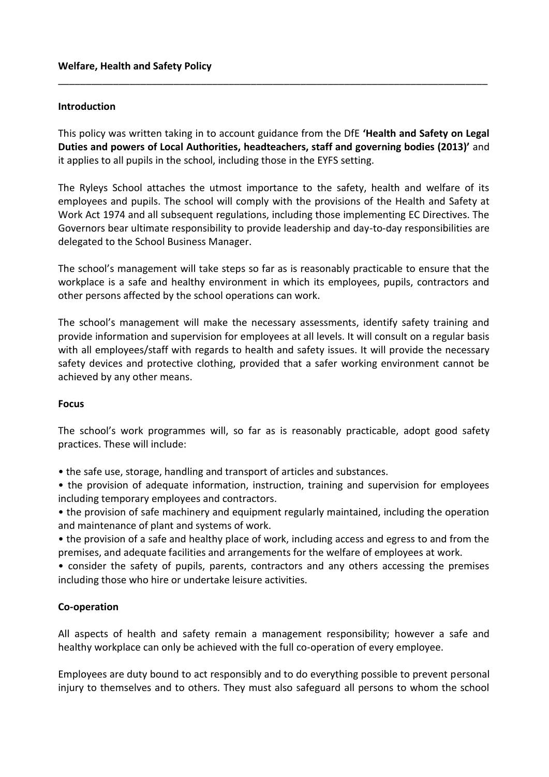## **Introduction**

This policy was written taking in to account guidance from the DfE **'Health and Safety on Legal Duties and powers of Local Authorities, headteachers, staff and governing bodies (2013)'** and it applies to all pupils in the school, including those in the EYFS setting.

\_\_\_\_\_\_\_\_\_\_\_\_\_\_\_\_\_\_\_\_\_\_\_\_\_\_\_\_\_\_\_\_\_\_\_\_\_\_\_\_\_\_\_\_\_\_\_\_\_\_\_\_\_\_\_\_\_\_\_\_\_\_\_\_\_\_\_\_\_\_\_\_\_\_\_\_\_\_

The Ryleys School attaches the utmost importance to the safety, health and welfare of its employees and pupils. The school will comply with the provisions of the Health and Safety at Work Act 1974 and all subsequent regulations, including those implementing EC Directives. The Governors bear ultimate responsibility to provide leadership and day-to-day responsibilities are delegated to the School Business Manager.

The school's management will take steps so far as is reasonably practicable to ensure that the workplace is a safe and healthy environment in which its employees, pupils, contractors and other persons affected by the school operations can work.

The school's management will make the necessary assessments, identify safety training and provide information and supervision for employees at all levels. It will consult on a regular basis with all employees/staff with regards to health and safety issues. It will provide the necessary safety devices and protective clothing, provided that a safer working environment cannot be achieved by any other means.

### **Focus**

The school's work programmes will, so far as is reasonably practicable, adopt good safety practices. These will include:

• the safe use, storage, handling and transport of articles and substances.

• the provision of adequate information, instruction, training and supervision for employees including temporary employees and contractors.

• the provision of safe machinery and equipment regularly maintained, including the operation and maintenance of plant and systems of work.

• the provision of a safe and healthy place of work, including access and egress to and from the premises, and adequate facilities and arrangements for the welfare of employees at work.

• consider the safety of pupils, parents, contractors and any others accessing the premises including those who hire or undertake leisure activities.

## **Co-operation**

All aspects of health and safety remain a management responsibility; however a safe and healthy workplace can only be achieved with the full co-operation of every employee.

Employees are duty bound to act responsibly and to do everything possible to prevent personal injury to themselves and to others. They must also safeguard all persons to whom the school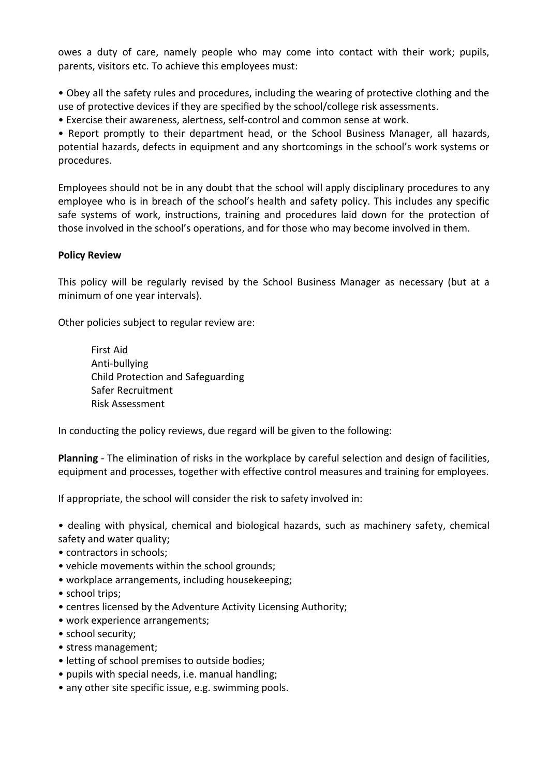owes a duty of care, namely people who may come into contact with their work; pupils, parents, visitors etc. To achieve this employees must:

• Obey all the safety rules and procedures, including the wearing of protective clothing and the use of protective devices if they are specified by the school/college risk assessments.

• Exercise their awareness, alertness, self-control and common sense at work.

• Report promptly to their department head, or the School Business Manager, all hazards, potential hazards, defects in equipment and any shortcomings in the school's work systems or procedures.

Employees should not be in any doubt that the school will apply disciplinary procedures to any employee who is in breach of the school's health and safety policy. This includes any specific safe systems of work, instructions, training and procedures laid down for the protection of those involved in the school's operations, and for those who may become involved in them.

## **Policy Review**

This policy will be regularly revised by the School Business Manager as necessary (but at a minimum of one year intervals).

Other policies subject to regular review are:

First Aid Anti-bullying Child Protection and Safeguarding Safer Recruitment Risk Assessment

In conducting the policy reviews, due regard will be given to the following:

**Planning** - The elimination of risks in the workplace by careful selection and design of facilities, equipment and processes, together with effective control measures and training for employees.

If appropriate, the school will consider the risk to safety involved in:

• dealing with physical, chemical and biological hazards, such as machinery safety, chemical safety and water quality;

- contractors in schools;
- vehicle movements within the school grounds;
- workplace arrangements, including housekeeping;
- school trips:
- centres licensed by the Adventure Activity Licensing Authority;
- work experience arrangements;
- school security;
- stress management;
- letting of school premises to outside bodies;
- pupils with special needs, i.e. manual handling;
- any other site specific issue, e.g. swimming pools.